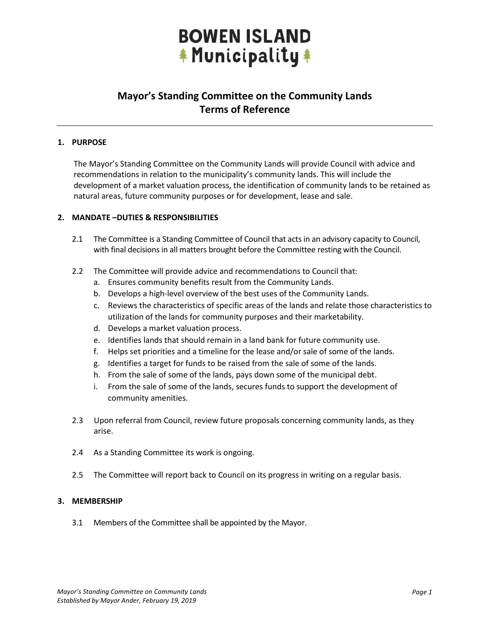### **BOWEN ISLAND A** Municipality \*

### **Mayor's Standing Committee on the Community Lands Terms of Reference**

#### **1. PURPOSE**

The Mayor's Standing Committee on the Community Lands will provide Council with advice and recommendations in relation to the municipality's community lands. This will include the development of a market valuation process, the identification of community lands to be retained as natural areas, future community purposes or for development, lease and sale.

#### **2. MANDATE –DUTIES & RESPONSIBILITIES**

- 2.1 The Committee is a Standing Committee of Council that acts in an advisory capacity to Council, with final decisions in all matters brought before the Committee resting with the Council.
- 2.2 The Committee will provide advice and recommendations to Council that:
	- a. Ensures community benefits result from the Community Lands.
	- b. Develops a high-level overview of the best uses of the Community Lands.
	- c. Reviews the characteristics of specific areas of the lands and relate those characteristics to utilization of the lands for community purposes and their marketability.
	- d. Develops a market valuation process.
	- e. Identifies lands that should remain in a land bank for future community use.
	- f. Helps set priorities and a timeline for the lease and/or sale of some of the lands.
	- g. Identifies a target for funds to be raised from the sale of some of the lands.
	- h. From the sale of some of the lands, pays down some of the municipal debt.
	- i. From the sale of some of the lands, secures funds to support the development of community amenities.
- 2.3 Upon referral from Council, review future proposals concerning community lands, as they arise.
- 2.4 As a Standing Committee its work is ongoing.
- 2.5 The Committee will report back to Council on its progress in writing on a regular basis.

#### **3. MEMBERSHIP**

3.1 Members of the Committee shall be appointed by the Mayor.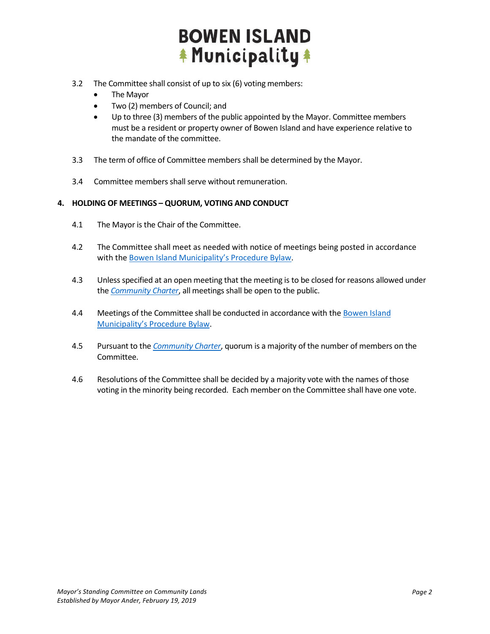## **BOWEN ISLAND \* Municipality \***

- 3.2 The Committee shall consist of up to six (6) voting members:
	- The Mayor
	- Two (2) members of Council; and
	- Up to three (3) members of the public appointed by the Mayor. Committee members must be a resident or property owner of Bowen Island and have experience relative to the mandate of the committee.
- 3.3 The term of office of Committee members shall be determined by the Mayor.
- 3.4 Committee members shall serve without remuneration.

#### **4. HOLDING OF MEETINGS – QUORUM, VOTING AND CONDUCT**

- 4.1 The Mayor is the Chair of the Committee.
- 4.2 The Committee shall meet as needed with notice of meetings being posted in accordance with the [Bowen Island Municipality's](https://bowenisland.civicweb.net/document/52791) Procedure Bylaw.
- 4.3 Unless specified at an open meeting that the meeting is to be closed for reasons allowed under the *[Community Charter](http://www.bclaws.ca/Recon/document/ID/freeside/03026_00)*, all meetings shall be open to the public.
- 4.4 Meetings of the Committee shall be conducted in accordance with th[e Bowen Island](https://bowenisland.civicweb.net/document/52791)  Municipality's [Procedure Bylaw.](https://bowenisland.civicweb.net/document/52791)
- 4.5 Pursuant to the *[Community Charter](http://www.bclaws.ca/Recon/document/ID/freeside/03026_00)*, quorum is a majority of the number of members on the Committee.
- 4.6 Resolutions of the Committee shall be decided by a majority vote with the names of those voting in the minority being recorded. Each member on the Committee shall have one vote.